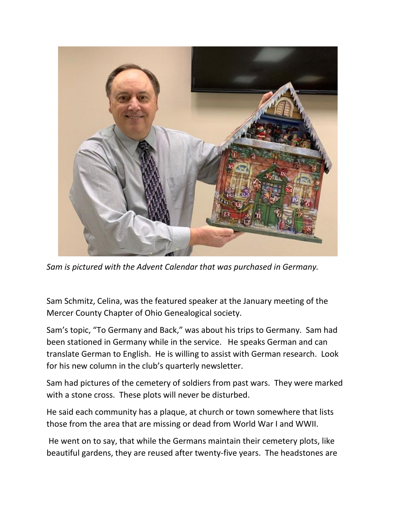

*Sam is pictured with the Advent Calendar that was purchased in Germany.*

Sam Schmitz, Celina, was the featured speaker at the January meeting of the Mercer County Chapter of Ohio Genealogical society.

Sam's topic, "To Germany and Back," was about his trips to Germany. Sam had been stationed in Germany while in the service. He speaks German and can translate German to English. He is willing to assist with German research. Look for his new column in the club's quarterly newsletter.

Sam had pictures of the cemetery of soldiers from past wars. They were marked with a stone cross. These plots will never be disturbed.

He said each community has a plaque, at church or town somewhere that lists those from the area that are missing or dead from World War I and WWII.

He went on to say, that while the Germans maintain their cemetery plots, like beautiful gardens, they are reused after twenty-five years. The headstones are